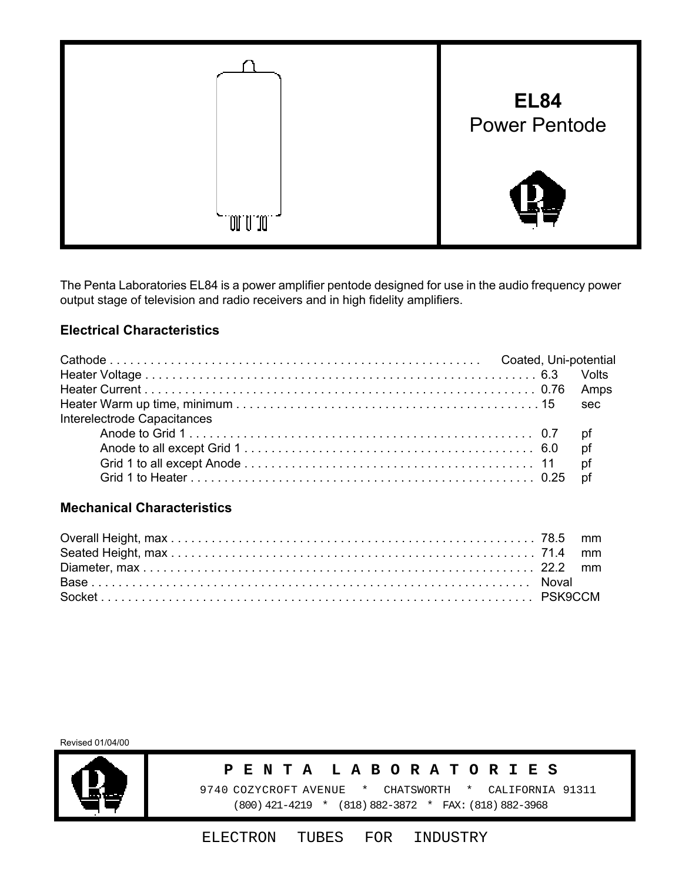

The Penta Laboratories EL84 is a power amplifier pentode designed for use in the audio frequency power output stage of television and radio receivers and in high fidelity amplifiers.

## **Electrical Characteristics**

|                             |  | sec |
|-----------------------------|--|-----|
| Interelectrode Capacitances |  |     |
|                             |  |     |
|                             |  |     |
|                             |  |     |
|                             |  |     |

## **Mechanical Characteristics**

Revised 01/04/00



#### **P E N T A L A B O R A T O R I E S**

 9740 COZYCROFT AVENUE \* CHATSWORTH \* CALIFORNIA 91311 (800) 421-4219 \* (818) 882-3872 \* FAX: (818) 882-3968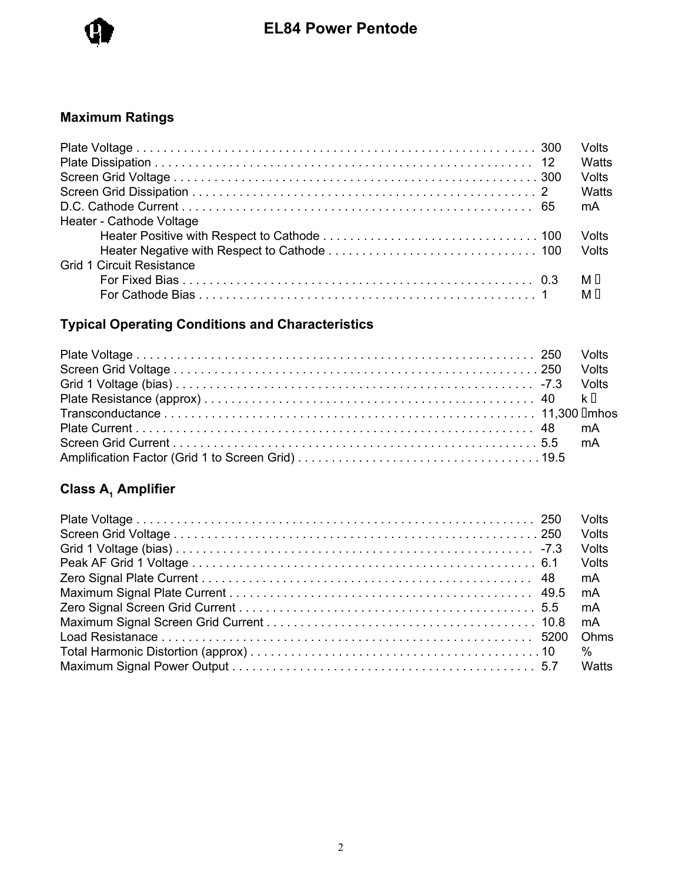

## **Maximum Ratings**

|                                  | Volts<br>Watts |
|----------------------------------|----------------|
|                                  | Volts          |
|                                  | Watts          |
|                                  | mA             |
| Heater - Cathode Voltage         |                |
|                                  | Volts          |
|                                  | Volts          |
| <b>Grid 1 Circuit Resistance</b> |                |
|                                  | MП             |
|                                  | м п            |

# **Typical Operating Conditions and Characteristics**

# **Class A<sub>1</sub> Amplifier**

|  | <b>Volts</b> |
|--|--------------|
|  | Volts        |
|  | Volts        |
|  | Volts        |
|  | mA           |
|  | mA           |
|  | mA           |
|  | mA           |
|  | Ohms         |
|  | $\%$         |
|  | Watts        |